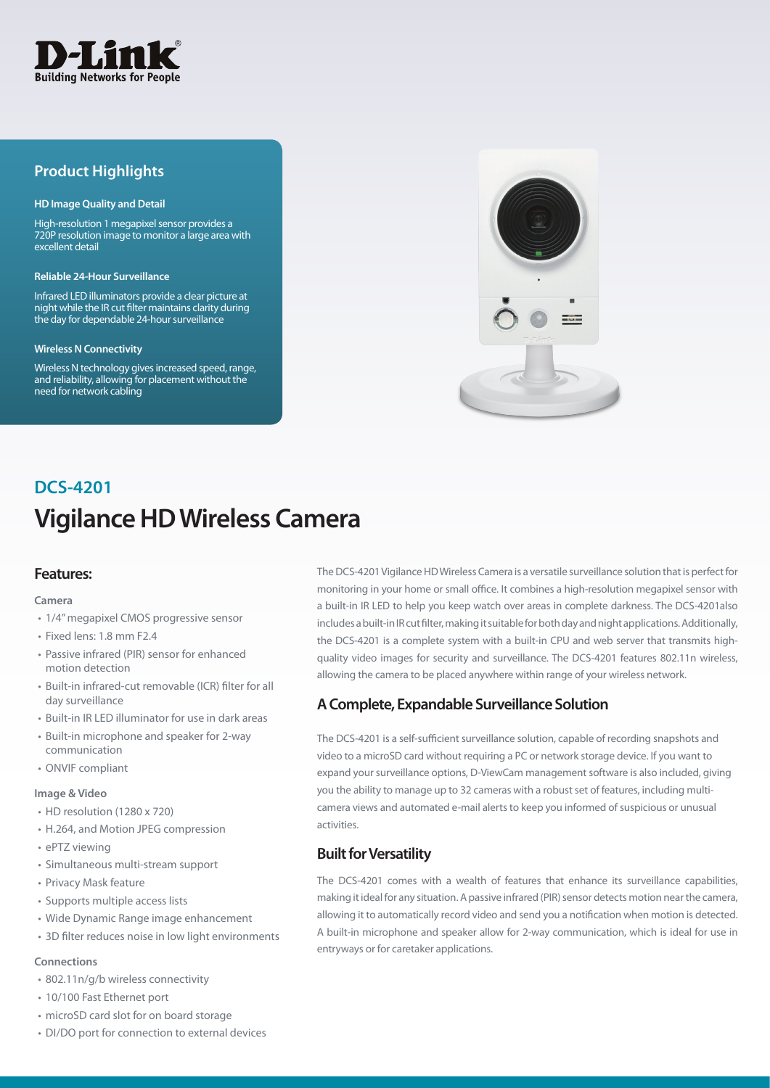

# **Product Highlights**

#### **HD Image Quality and Detail**

High-resolution 1 megapixel sensor provides a 720P resolution image to monitor a large area with excellent detail

#### **Reliable 24-Hour Surveillance**

Infrared LED illuminators provide a clear picture at night while the IR cut filter maintains clarity during the day for dependable 24-hour surveillance

#### **Wireless N Connectivity**

Wireless N technology gives increased speed, range, and reliability, allowing for placement without the need for network cabling



# **Vigilance HD Wireless Camera DCS-4201**

### **Features:**

#### **Camera**

- 1/4" megapixel CMOS progressive sensor
- $\cdot$  Fived lens: 1.8 mm F2.4
- Passive infrared (PIR) sensor for enhanced motion detection
- Built-in infrared-cut removable (ICR) filter for all day surveillance
- Built-in IR LED illuminator for use in dark areas
- • Built-in microphone and speaker for 2-way communication
- ONVIF compliant

#### **Image & Video**

- HD resolution (1280 x 720)
- H.264, and Motion JPEG compression
- ePTZ viewing
- • Simultaneous multi-stream support
- Privacy Mask feature
- Supports multiple access lists
- • Wide Dynamic Range image enhancement
- 3D filter reduces noise in low light environments

#### **Connections**

- 802.11n/g/b wireless connectivity
- • 10/100 Fast Ethernet port
- microSD card slot for on board storage
- DI/DO port for connection to external devices

The DCS-4201 Vigilance HD Wireless Camera is a versatile surveillance solution that is perfect for monitoring in your home or small office. It combines a high-resolution megapixel sensor with a built-in IR LED to help you keep watch over areas in complete darkness. The DCS-4201also includes a built-in IR cut filter, making it suitable for both day and night applications. Additionally, the DCS-4201 is a complete system with a built-in CPU and web server that transmits highquality video images for security and surveillance. The DCS-4201 features 802.11n wireless, allowing the camera to be placed anywhere within range of your wireless network.

### **A Complete, Expandable Surveillance Solution**

The DCS-4201 is a self-sufficient surveillance solution, capable of recording snapshots and video to a microSD card without requiring a PC or network storage device. If you want to expand your surveillance options, D-ViewCam management software is also included, giving you the ability to manage up to 32 cameras with a robust set of features, including multicamera views and automated e-mail alerts to keep you informed of suspicious or unusual activities.

### **Built for Versatility**

The DCS-4201 comes with a wealth of features that enhance its surveillance capabilities, making it ideal for any situation. A passive infrared (PIR) sensor detects motion near the camera, allowing it to automatically record video and send you a notification when motion is detected. A built-in microphone and speaker allow for 2-way communication, which is ideal for use in entryways or for caretaker applications.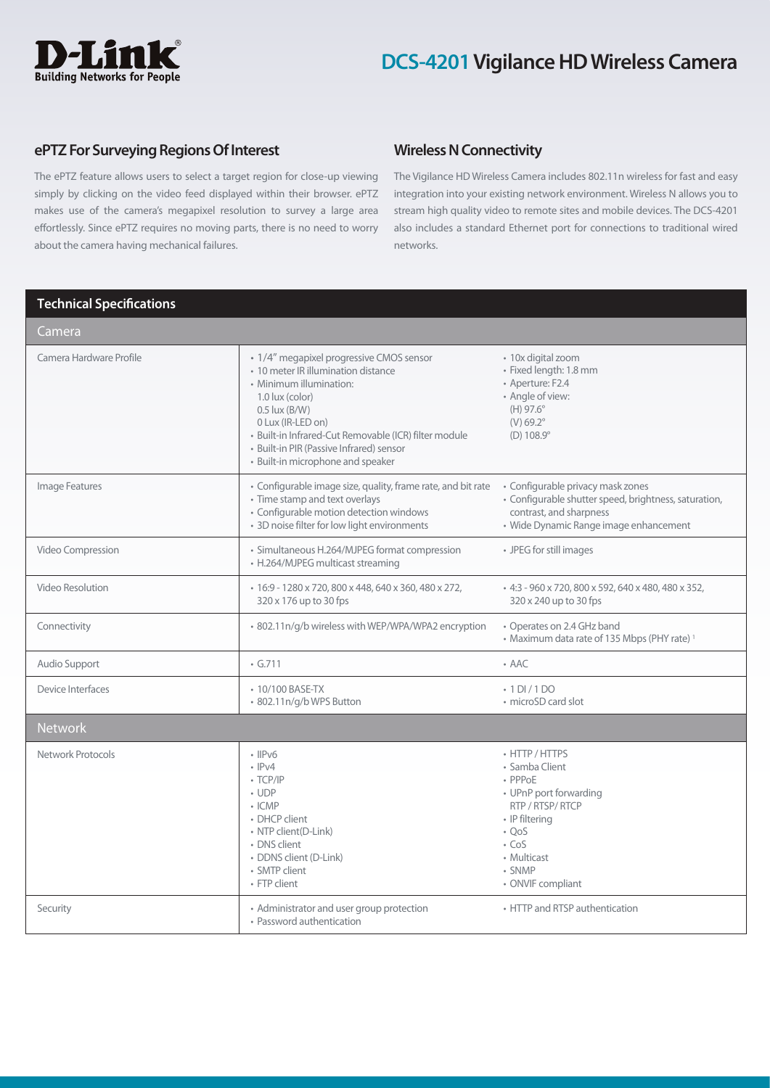# **D-Lin Building Networks for People**

# **DCS-4201 Vigilance HD Wireless Camera**

### **ePTZ For Surveying Regions Of Interest**

The ePTZ feature allows users to select a target region for close-up viewing simply by clicking on the video feed displayed within their browser. ePTZ makes use of the camera's megapixel resolution to survey a large area effortlessly. Since ePTZ requires no moving parts, there is no need to worry about the camera having mechanical failures.

## **Wireless N Connectivity**

The Vigilance HD Wireless Camera includes 802.11n wireless for fast and easy integration into your existing network environment. Wireless N allows you to stream high quality video to remote sites and mobile devices. The DCS-4201 also includes a standard Ethernet port for connections to traditional wired networks.

## **Technical Specifications**

| Camera                  |                                                                                                                                                                                                                                                                                                                   |                                                                                                                                                                                         |
|-------------------------|-------------------------------------------------------------------------------------------------------------------------------------------------------------------------------------------------------------------------------------------------------------------------------------------------------------------|-----------------------------------------------------------------------------------------------------------------------------------------------------------------------------------------|
| Camera Hardware Profile | · 1/4" megapixel progressive CMOS sensor<br>• 10 meter IR illumination distance<br>• Minimum illumination:<br>1.0 lux (color)<br>$0.5$ lux $(B/W)$<br>0 Lux (IR-LED on)<br>· Built-in Infrared-Cut Removable (ICR) filter module<br>• Built-in PIR (Passive Infrared) sensor<br>• Built-in microphone and speaker | • 10x digital zoom<br>· Fixed length: 1.8 mm<br>• Aperture: F2.4<br>• Angle of view:<br>(H) 97.6°<br>$(V) 69.2^{\circ}$<br>$(D) 108.9^\circ$                                            |
| Image Features          | • Configurable image size, quality, frame rate, and bit rate<br>• Time stamp and text overlays<br>• Configurable motion detection windows<br>· 3D noise filter for low light environments                                                                                                                         | · Configurable privacy mask zones<br>• Configurable shutter speed, brightness, saturation,<br>contrast, and sharpness<br>· Wide Dynamic Range image enhancement                         |
| Video Compression       | • Simultaneous H.264/MJPEG format compression<br>• H.264/MJPEG multicast streaming                                                                                                                                                                                                                                | • JPEG for still images                                                                                                                                                                 |
| Video Resolution        | • 16:9 - 1280 x 720, 800 x 448, 640 x 360, 480 x 272,<br>320 x 176 up to 30 fps                                                                                                                                                                                                                                   | - 4:3 - 960 x 720, 800 x 592, 640 x 480, 480 x 352,<br>320 x 240 up to 30 fps                                                                                                           |
| Connectivity            | · 802.11n/g/b wireless with WEP/WPA/WPA2 encryption                                                                                                                                                                                                                                                               | • Operates on 2.4 GHz band<br>• Maximum data rate of 135 Mbps (PHY rate) <sup>1</sup>                                                                                                   |
| Audio Support           | $\cdot$ G.711                                                                                                                                                                                                                                                                                                     | $\bullet$ AAC                                                                                                                                                                           |
| Device Interfaces       | • 10/100 BASE-TX<br>+ 802.11n/g/b WPS Button                                                                                                                                                                                                                                                                      | $\cdot$ 1 DI / 1 DO<br>• microSD card slot                                                                                                                                              |
| <b>Network</b>          |                                                                                                                                                                                                                                                                                                                   |                                                                                                                                                                                         |
| Network Protocols       | $\cdot$ IIPv6<br>$\cdot$ IPv4<br>$\cdot$ TCP/IP<br>$\cdot$ UDP<br>$\cdot$ ICMP<br>• DHCP client<br>• NTP client(D-Link)<br>• DNS client<br>· DDNS client (D-Link)<br>· SMTP client<br>• FTP client                                                                                                                | • HTTP / HTTPS<br>• Samba Client<br>• PPPoE<br>• UPnP port forwarding<br>RTP / RTSP/ RTCP<br>• IP filtering<br>$\cdot$ OoS<br>$\cdot$ CoS<br>• Multicast<br>· SNMP<br>• ONVIF compliant |
| Security                | • Administrator and user group protection<br>• Password authentication                                                                                                                                                                                                                                            | • HTTP and RTSP authentication                                                                                                                                                          |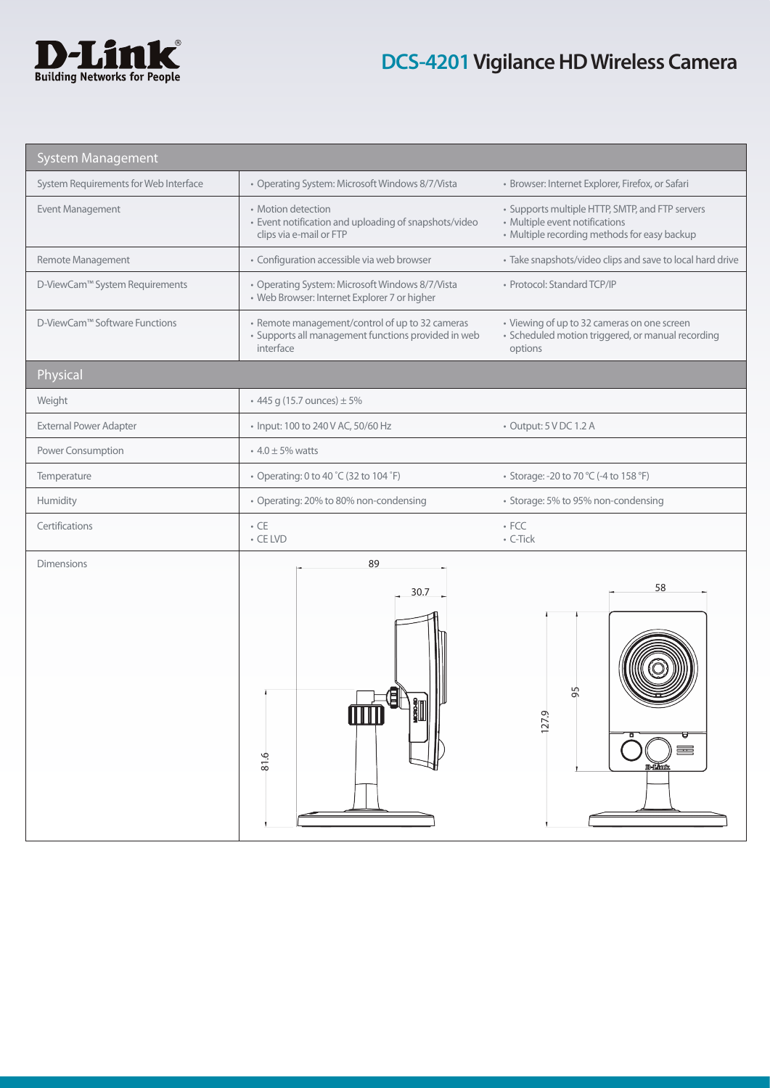

# **DCS-4201 Vigilance HD Wireless Camera**

| <b>System Management</b>              |                                                                                                                     |                                                                                                                                   |
|---------------------------------------|---------------------------------------------------------------------------------------------------------------------|-----------------------------------------------------------------------------------------------------------------------------------|
| System Requirements for Web Interface | • Operating System: Microsoft Windows 8/7/Vista                                                                     | · Browser: Internet Explorer, Firefox, or Safari                                                                                  |
| Event Management                      | • Motion detection<br>• Event notification and uploading of snapshots/video<br>clips via e-mail or FTP              | • Supports multiple HTTP, SMTP, and FTP servers<br>• Multiple event notifications<br>• Multiple recording methods for easy backup |
| Remote Management                     | • Configuration accessible via web browser                                                                          | • Take snapshots/video clips and save to local hard drive                                                                         |
| D-ViewCam™ System Requirements        | • Operating System: Microsoft Windows 8/7/Vista<br>• Web Browser: Internet Explorer 7 or higher                     | · Protocol: Standard TCP/IP                                                                                                       |
| D-ViewCam™ Software Functions         | • Remote management/control of up to 32 cameras<br>· Supports all management functions provided in web<br>interface | • Viewing of up to 32 cameras on one screen<br>· Scheduled motion triggered, or manual recording<br>options                       |
| Physical                              |                                                                                                                     |                                                                                                                                   |
| Weight                                | $\cdot$ 445 g (15.7 ounces) $\pm$ 5%                                                                                |                                                                                                                                   |
| <b>External Power Adapter</b>         | • Input: 100 to 240 V AC, 50/60 Hz                                                                                  | • Output: 5 V DC 1.2 A                                                                                                            |
| Power Consumption                     | • $4.0 \pm 5\%$ watts                                                                                               |                                                                                                                                   |
| Temperature                           | • Operating: 0 to 40 °C (32 to 104 °F)                                                                              | • Storage: -20 to 70 °C (-4 to 158 °F)                                                                                            |
| Humidity                              | • Operating: 20% to 80% non-condensing                                                                              | • Storage: 5% to 95% non-condensing                                                                                               |
| Certifications                        | $\bullet$ CE<br>$\cdot$ CE LVD                                                                                      | $\cdot$ FCC<br>• C-Tick                                                                                                           |
| <b>Dimensions</b>                     | 89<br>30.7<br>$rac{6}{81}$                                                                                          | 58<br>LN<br>ᠬ<br>Ō<br>N<br>$\overline{a}$<br><b>D-Limit</b>                                                                       |